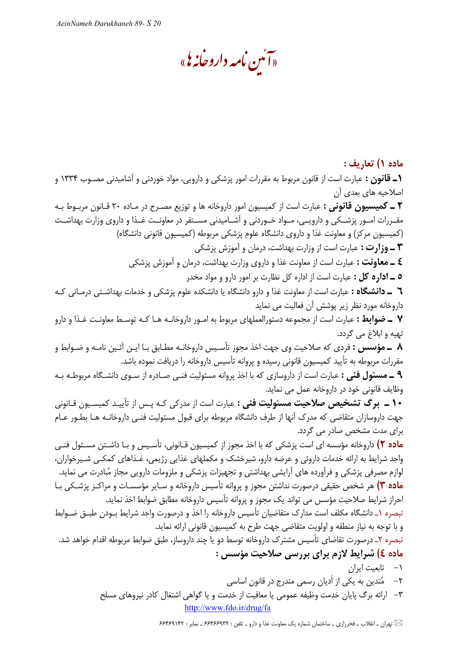«آئىن نامە داروخانە يى»

ماده ۱) تعاريف : **۱ــ قانون :** عبارت است از قانون مربوط به مقررات امور پزشکی و دارویی، مواد خوردنی و آشامیدنی مصــوب ۱۳۳۴ و اصلاحیه های بعدی أن **٢ ــ كميسيون قانوني :** عبارت است از كميسيون امور داروخانه ها و توزيع مصـرح در مـاده ٢٠ قـانون مربـوط بـه مقــررات امــور پزشــكي و دارويــي، مــواد خــوردني و آشــاميدني مســتقر در معاونــت غــذا و داروي وزارت بهداشــت (کمیسیون مرکز) و معاونت غذا و داروی دانشگاه علوم پزشکی مربوطه (کمیسیون قانونی دانشگاه) **۳ ــ وزارت :** عبارت است از وزارت بهداشت، درمان و آموزش پزشکی **٤ ــ معاونت :** عبارت است از معاونت غذا و داروي وزارت بهداشت، درمان و آموزش پزشكي **٥ ــ اداره كل :** عبارت است از اداره كل نظارت بر امور دارو و مواد مخدر **٦** ـ دانشگاه : عبارت است از معاونت غذا و دارو دانشگاه یا دانشکده علوم پزشکی و خدمات بهداشـتی درمـانی کـه داروخانه مورد نظر زیر پوشش أن فعالیت می نماید ۷ ـ ضوابط : عبارت است از مجموعه دستورالعملهای مربوط به امـور داروخانـه هـا کـه توسـط معاونـت غـذا و دارو تهيه و ابلاغ مي گردد. ۸ ــ مؤسس : فردي كه صلاحيت وي جهت اخذ مجوز تأسـيس داروخانــه مطـابق بـا ايــن آئـين نامــه و ضــوابط و مقررات مربوطه به تأیید کمیسیون قانونی رسیده و پروانه تأسیس داروخانه را دریافت نموده باشد. **۹ ــ مسئول فنی :** عبارت است از داروسازی که با اخذ پروانه مسئولیت فنــی صـادره از سـوی دانشـگاه مربوطـه بـه وظايف قانوني خود در داروخانه عمل مي نمايد. **۱۰ ــ برگ تشخیص صلاحیت مسئولیت فنی :** عبارت است از مدرکی کـه پـس از تأییـد کمیسـیون قـانونی جهت داروسازان متقاضی که مدرک آنها از طرف دانشگاه مربوطه برای قبول مسئولیت فنـی داروخانـه هـا بطـور عـام برای مدت مشخص صادر می گردد. م**اده ۲)** داروخانه مؤسسه ای است پزشکی که با اخذ مجوز از کمیسیون قـانونی، تأسـیس و بـا داشـتن مسـئول فنـی واجد شرایط به ارائه خدمات داروئی و عرضه دارو، شیرخشک و مکملهای غذایی رژیمی، غـذاهای کمکـی شـیرخواران، لوازم مصرفی پزشکی و فرآورده های آرایشی بهداشتی و تجهیزات پزشکی و ملزومات دارویی مجاز مُبادرت می نماید. ماده ٣) هر شخص حقیقی درصورت نداشتن مجوز و پروانه تأسیس داروخانه و سـایر مؤسسـات و مراکـز پزشـکی بـا احراز شرایط صلاحیت مؤسس می تواند یک مجوز و پروانه تأسیس داروخانه مطابق ضوابط اخذ نماید. تبصره ١\_ دانشگاه مكلف است مدارك متقاضيان تأسيس داروخانه را اخذ و درصورت واجد شرايط بـودن طبـق ضـوابط و با توجه به نیاز منطقه و اولویت متقاضی جهت طرح به کمیسیون قانونی ارائه نماید. تبصره ۲\_ درصورت تقاضای تأسیس مشترک داروخانه توسط دو یا چند داروساز، طبق ضوابط مربوطه اقدام خواهد شد. ماده ٤) شرایط لازم برای بررسی صلاحیت مؤسس : ١- تابعيت ايران ۲– مُتدین به یکی از اُدیان رسمی مندرج در قانون اساسی ٣– ارائه برگ پایان خدمت وظیفه عمومی یا معافیت از خدمت و یا گواهی اشتغال کادر نیروهای مسلح http://www.fdo.ir/drug/fa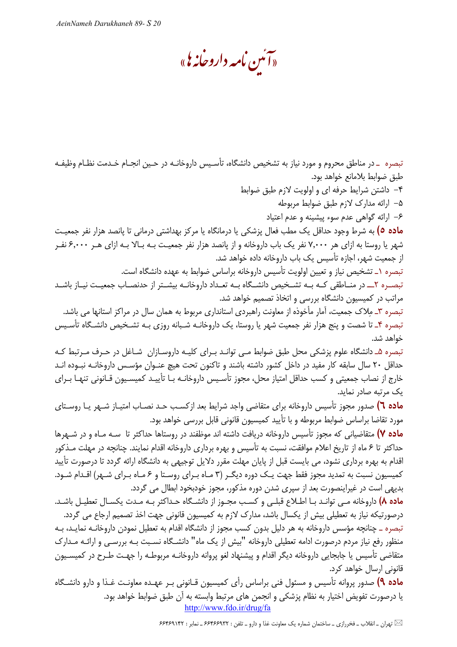«آئىن نامە داروخانەی»

تبصره \_در مناطق محروم و مورد نیاز به تشخیص دانشگاه، تأسـیس داروخانـه در حـین انجـام خـدمت نظـام وظیفـه طبق ضوابط بلامانع خواهد بود.

۴- داشتن شرایط حرفه ای و اولویت لازم طبق ضوابط

۵– ارائه مدارک لازم طبق ضوابط مربوطه

۶– ارائه گواهی عدم سوء پیشینه و عدم اعتیاد

**ماده ٥)** به شرط وجود حداقل یک مطب فعال پزشکی یا درمانگاه یا مرکز بهداشتی درمانی تا پانصد هزار نفر جمعیت شهر یا روستا به ازای هر ۷٬۰۰۰ نفر یک باب داروخانه و از پانصد هزار نفر جمعیت بـه بـالا بـه ازای هـر ۶٬۰۰۰ نفـر از جمعیت شهر، اجازه تأسیس یک باب داروخانه داده خواهد شد.

تبصره ١\_ تشخيص نياز و تعيين اولويت تأسيس داروخانه براساس ضوابط به عهده دانشگاه است.

تبصـره ٢ــ در منــاطقى كــه بــه تشــخيص دانشــگاه بــه تعــداد داروخانــه بيشــتر از حدنصــاب جمعيــت نيــاز باشــد مراتب در کمیسیون دانشگاه بررسی و اتخاذ تصمیم خواهد شد.

تبصره ٣\_ مِلاک جمعیت، آمار مأخوذه از معاونت راهبردی استانداری مربوط به همان سال در مراکز استانها می باشد. تبصره ۴ـ تا شصت و پنج هزار نفر جمعيت شهر يا روستا، يک داروخانــه شـبانه روزي بــه تشــخيص دانشــگاه تأسـيس خواهد شد.

تبصره ۵ـ دانشگاه علوم پزشکی محل طبق ضوابط مـی توانـد بـرای کلیـه داروسـازان شـاغل در حـرف مـرتبط کـه حداقل ۲۰ سال سابقه کار مفید در داخل کشور داشته باشند و تاکنون تحت هیچ عنـوان مؤسـس داروخانـه نبـوده انـد خارج از نصاب جمعیتی و کسب حداقل امتیاز محل، مجوز تأسـیس داروخانــه بــا تأییــد کمیسـیون قــانونی تنهـا بــرای یک مرتبه صادر نماید.

م**اده ٦)** صدور مجوز تأسیس داروخانه برای متقاضی واجد شرایط بعد ازکسب حـد نصـاب امتیـاز شـهر یـا روسـتای مورد تقاضا براساس ضوابط مربوطه و با تأیید کمیسیون قانونی قابل بررسی خواهد بود.

م**اده ۷)** متقاضیانی که مجوز تأسیس داروخانه دریافت داشته اند موظفند در روستاها حداکثر تا سـه مـاه و در شـهرها حداکثر تا ۶ ماه از تاریخ اعلام موافقت، نسبت به تأسیس و بهره برداری داروخانه اقدام نمایند. چنانچه در مهلت مـذکور اقدام به بهره برداری نشود، می بایست قبل از پایان مهلت مقرر دلایل توجیهی به دانشگاه ارائه گردد تا درصورت تأیید کمیسیون نسبت به تمدید مجوز فقط جهت یک دوره دیگـر (۳ مـاه بـرای روسـتا و ۶ مـاه بـرای شـهر) اقـدام شـود. بدیهی است در غیراینصورت بعد از سپری شدن دوره مذکور، مجوز خودبخود ابطال می گردد.

ماده ٨) داروخانه مبي توانيد بيا اطلاع قبلبي و كسب مجبوز از دانشگاه حيداكثر بيه ميدت يكسيال تعطيل باشيد. درصورتیکه نیاز به تعطیلی بیش از یکسال باشد، مدارک لازم به کمیسیون قانونی جهت اخذ تصمیم ارجاع می گردد.

تبصره ــ چنانچه مؤسس داروخانه به هر دلیل بدون کسب مجوز از دانشگاه اقدام به تعطیل نمودن داروخانـه نمایـد، بـه منظور رفع نیاز مردم درصورت ادامه تعطیلی داروخانه "بیش از یک ماه" دانشـگاه نسـبت بـه بررسـی و ارائـه مـدارک متقاضی تأسیس یا جابجایی داروخانه دیگر اقدام و پیشنهاد لغو پروانه داروخانـه مربوطـه را جهـت طـرح در كمیسـیون قانونی ارسال خواهد کرد.

**ماده ۹)** صدور پروانه تأسیس و مسئول فنی براساس رأی کمیسیون قـانونی بـر عهـده معاونـت غـذا و دارو دانشـگاه یا درصورت تفویض اختیار به نظام پزشکی و انجمن های مرتبط وابسته به اًن طبق ضوابط خواهد بود. http://www.fdo.ir/drug/fa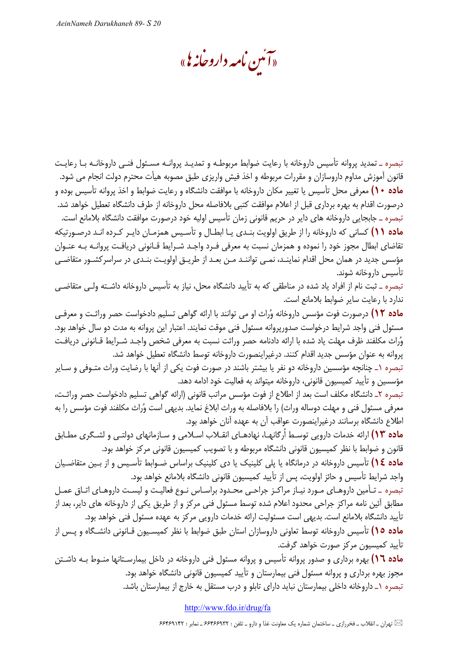«آئىن نامە داروخانەی»

تبصره ـ تمدید پروانه تأسیس داروخانه با رعایت ضوابط مربوطـه و تمدیـد پروانـه مسـئول فنـی داروخانـه بـا رعایـت قانون آموزش مداوم داروسازان و مقررات مربوطه و اخذ فیش واریزی طبق مصوبه هیأت محترم دولت انجام می شود. **ماده ۱۰)** معرفی محل تأسیس یا تغییر مکان داروخانه با موافقت دانشگاه و رعایت ضوابط و اخذ پروانه تأسیس بوده و درصورت اقدام به بهره برداري قبل از اعلام موافقت كتبي بلافاصله محل داروخانه از طرف دانشگاه تعطيل خواهد شد. تبصره ــ جابجايي داروخانه هاي داير در حريم قانوني زمان تأسيس اوليه خود درصورت موافقت دانشگاه بلامانع است. <mark>ماده ۱۱)</mark> کسانی که داروخانه را از طریق اولویت بنـدی یـا ابطـال و تأسـیس همزمـان دایـر کـرده انـد درصـورتیکه تقاضای ابطال مجوز خود را نموده و همزمان نسبت به معرفی فـرد واجـد شـرایط قـانونی دریافـت پروانـه بـه عنـوان مؤسس جدید در همان محل اقدام نماینـد، نمـی تواننـد مـن بعـد از طریـق اولویـت بنـدی در سراسرکشـور متقاضـی تأسيس داروخانه شوند.

تبصره \_ ثبت نام از افراد یاد شده در مناطقی که به تأیید دانشگاه محل، نیاز به تأسیس داروخانه داشـته ولـی متقاضـی ندارد با رعايت ساير ضوابط بلامانع است.

**ماده ۱۲)** درصورت فوت مؤسس داروخانه وُراث او می توانند با ارائه گواهی تسلیم دادخواست حصر وراثـت و معرفـی مسئول فنی واجد شرایط درخواست صدورپروانه مسئول فنی موقت نمایند. اعتبار این پروانه به مدت دو سال خواهد بود. وُراث مكلفند ظرف مهلت ياد شده با ارائه دادنامه حصر وراثت نسبت به معرفي شخص واجـد شـرايط قــانوني دريافـت پروانه به عنوان مؤسس جدید اقدام کنند. درغیراینصورت داروخانه توسط دانشگاه تعطیل خواهد شد.

تبصره ١ـ چنانچه مؤسسین داروخانه دو نفر یا بیشتر باشند در صورت فوت یکی از آنها با رضایت وراث متـوفی و سـایر مؤسسین و تأیید کمیسیون قانونی، داروخانه میتواند به فعالیت خود ادامه دهد.

تبصره ٢\_ دانشگاه مكلف است بعد از اطلاع از فوت مؤسس مراتب قانوني (ارائه گواهي تسليم دادخواست حصر وراثت، معرفي مسئول فني و مهلت دوساله وراث) را بلافاصله به وراث ابلاغ نمايد. بديهي است وُراث مكلفند فوت مؤسس را به اطلاع دانشگاه برسانند درغیراینصورت عواقب آن به عهده آنان خواهد بود.

**ماده ۱۳)** ارائه خدمات دارویی توسـط اُرگانهـا، نهادهـای انقـلاب اسـلامی و سـازمانهای دولتـی و لشـگری مطـابق قانون و ضوابط با نظر كميسيون قانوني دانشگاه مربوطه و با تصويب كميسيون قانوني مركز خواهد بود.

ماده ١٤) تأسیس داروخانه در درمانگاه یا پلی کلینیک یا دی کلینیک براساس ضـوابط تأسـیس و از بـین متقاضـیان واجد شرايط تأسيس و حائز اولويت، پس از تأييد كميسيون قانوني دانشگاه بلامانع خواهد بود.

تبصره \_ تـأمين داروهـاي مـورد نيـاز مراكـز جراحـي محـدود براسـاس نـوع فعاليـت و ليسـت داروهـاي اتـاق عمـل مطابق آئین نامه مراکز جراحی محدود اعلام شده توسط مسئول فنی مرکز و از طریق یکی از داروخانه های دایر، بعد از تأييد دانشگاه بلامانع است. بديهي است مسئوليت ارائه خدمات دارويي مركز به عهده مسئول فني خواهد بود.

**ماده ۱۵)** تأسیس داروخانه توسط تعاونی داروسازان استان طبق ضوابط با نظر کمیسـیون قـانونی دانشـگاه و پـس از تأييد كميسيون مركز صورت خواهد گرفت.

**ماده ١٦)** بهره برداری و صدور پروانه تأسیس و پروانه مسئول فنی داروخانه در داخل بیمارسـتانها منـوط بـه داشـتن مجوز بهره برداری و پروانه مسئول فنی بیمارستان و تأیید کمیسیون قانونی دانشگاه خواهد بود. تبصره ۱ـ داروخانه داخلی بیمارستان نباید دارای تابلو و درب مستقل به خارج از بیمارستان باشد.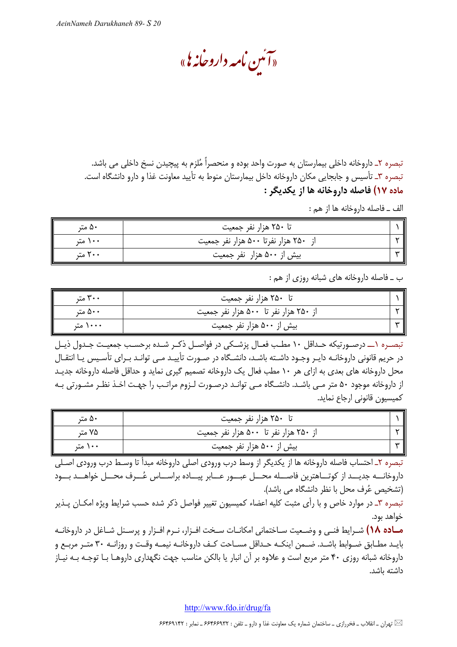«آئىن نامە داروخانەی»

تبصره ٢ـ داروخانه داخلي بيمارستان به صورت واحد بوده و منحصراً مُلزم به پيچيدن نسخ داخلي مي باشد. تبصره ٣ـ تأسيس و جابجايي مكان داروخانه داخل بيمارستان منوط به تأييد معاونت غذا و دارو دانشگاه است. ماده ۱۷) فاصله داروخانه ها از یکدیگر :

الف \_ فاصله داروخانه ها از هم :

| ۵۰ متر  | تا ۲۵۰ هزار نفر جمعیت                |  |
|---------|--------------------------------------|--|
| ۱۰۰ متر | از ۲۵۰ هزار نفرتا ۵۰۰ هزار نفر جمعیت |  |
| ۲۰۰ متر | بیش از ۵۰۰ هزار نفر جمعیت            |  |

ب \_ فاصله داروخانه های شبانه روزی از هم :

| ۳۰۰ متر  | تا ۲۵۰ هزار نفر جمعیت                 |  |
|----------|---------------------------------------|--|
| ۵۰۰ متر  | از ۲۵۰ هزار نفر تا ۵۰۰ هزار نفر جمعیت |  |
| ۱۰۰۰ متر | بیش از ۵۰۰ هزار نفر جمعیت             |  |

تبصـره ١ـــ درصـورتيكه حـداقل ١٠ مطـب فعـال پزشـكي در فواصـل ذكـر شـده برحسـب جمعيـت جـدول ذيـل در حریم قانونی داروخانـه دایـر وجـود داشـته باشـد، دانشـگاه در صـورت تأییـد مـی توانـد بـرای تأسـیس یـا انتقـال محل داروخانه های بعدی به ازای هر ۱۰ مطب فعال یک داروخانه تصمیم گیری نماید و حداقل فاصله داروخانه جدیـد از داروخانه موجود ۵۰ متر مـی باشـد. دانشـگاه مـی توانـد درصـورت لـزوم مراتـب را جهـت اخـذ نظـر مشـورتی بـه كميسيون قانوني ارجاع نمايد.

| ۵۰ متر  | تا ۲۵۰ هزار نفر جمعیت                 |    |
|---------|---------------------------------------|----|
| ۷۵ متر  | از ۲۵۰ هزار نفر تا ۵۰۰ هزار نفر جمعیت |    |
| ۱۰۰ متر | بیش از ۵۰۰ هزار نفر جمعیت             | سە |

.<br>تبصره ۲ـ احتساب فاصله داروخانه ها از یکدیگر از وسط درب ورودی اصلی داروخانه مبدأ تا وسـط درب ورودی اصـلی داروخانـــه جديـــد از كوتـــاهترين فاصـــله محـــل عبـــور عـــابر پيـــاده براســـاس عُـــرف محـــل خواهـــد بـــود (تشخيص عُرف محل با نظر دانشگاه مي باشد).

تبصره ۳ـ در موارد خاص و با رأى مثبت كليه اعضاء كميسيون تغيير فواصل ذكر شده حسب شرايط ويژه امكـان پـذير خواهد بود.

معاده ۱۸) شـرايط فنـي و وضـعيت سـاختماني امكانــات سـخت افــزار، نــرم افــزار و پرســنل شــاغل در داروخانــه بايـد مطـابق ضـوابط باشـد. ضـمن اينكـه حـداقل مسـاحت كـف داروخانـه نيمـه وقـت و روزانـه ٣٠ متـر مربـع و داروخانه شبانه روزی ۴۰ متر مربع است و علاوه بر آن انبار یا بالکن مناسب جهت نگهداری داروهـا بـا توجـه بـه نيـاز داشته باشد.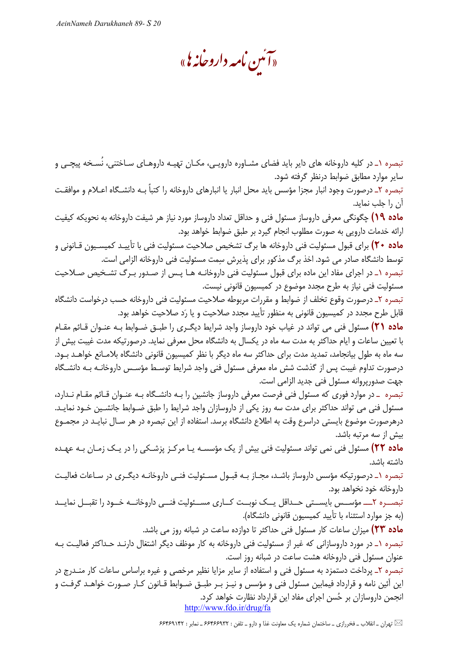«آئىن نامە داروخانە يى»

تبصره ۱\_ در کلیه داروخانه های دایر باید فضای مشـاوره دارویـی، مکـان تهیـه داروهـای سـاختنی، نُسـخه پیچـی و سایر موارد مطابق ضوابط درنظر گرفته شود.

تبصره ۲ـ درصورت وجود انبار مجزا مؤسس باید محل انبار یا انبارهای داروخانه را کتباً بـه دانشـگاه اعـلام و موافقـت ان را جلب نماید.

**ماده ۱۹)** چگونگی معرفی داروساز مسئول فنی و حداقل تعداد داروساز مورد نیاز هر شیفت داروخانه به نحویکه کیفیت ارائه خدمات دارويي به صورت مطلوب انجام گيرد بر طبق ضوابط خواهد بود.

**ماده ۲۰)** برای قبول مسئولیت فنی داروخانه ها برگ تشخیص صلاحیت مسئولیت فنی با تأییـد کمیسـیون قـانونی و توسط دانشگاه صادر می شود. اخذ برگ مذکور برای پذیرش سمت مسئولیت فنی داروخانه الزامی است.

تبصره ۱ـ در اجرای مفاد این ماده برای قبول مسئولیت فنی داروخانـه هـا پـس از صـدور بـرگ تشـخیص صـلاحیت مسئولیت فنی نیاز به طرح مجدد موضوع در کمیسیون قانونی نیست.

تبصره ٢\_ درصورت وقوع تخلف از ضوابط و مقررات مربوطه صلاحيت مسئوليت فني داروخانه حسب درخواست دانشگاه قابل طرح مجدد در کمیسیون قانونی به منظور تأیید مجدد صلاحیت و یا رَد صلاحیت خواهد بود.

**ماده ۲۱)** مسئول فنی می تواند در غیاب خود داروساز واجد شرایط دیگری را طبـق ضـوابط بـه عنـوان قـائم مقـام با تعیین ساعات و ایام حداکثر به مدت سه ماه در یکسال به دانشگاه محل معرفی نماید. درصورتیکه مدت غیبت بیش از سه ماه به طول بیانجامد، تمدید مدت برای حداکثر سه ماه دیگر با نظر کمیسیون قانونی دانشگاه بلامـانع خواهـد بـود. درصورت تداوم غیبت پس از گذشت شش ماه معرفی مسئول فنی واجد شرایط توسـط مؤسـس داروخانـه بـه دانشـگاه جهت صدوريروانه مسئول فني جديد الزامي است.

تبصره \_ در موارد فوری که مسئول فنی فرصت معرفی داروساز جانشین را بـه دانشـگاه بـه عنـوان قـائم مقـام نـدارد، مسئول فنی می تواند حداکثر برای مدت سه روز یکی از داروسازان واجد شرایط را طبق ضـوابط جانشـین خـود نمایـد. درهرصورت موضوع بایستی دراسرع وقت به اطلاع دانشگاه برسد. استفاده از این تبصره در هر سـال نبایـد در مجمـوع بیش از سه مرتبه باشد.

**ماده ۲۲)** مسئول فنی نمی تواند مسئولیت فنی بیش از یک مؤسسـه یـا مرکـز پزشـکی را در یـک زمـان بـه عهـده داشته ىاشد.

تبصره ۱ـ درصورتیکه مؤسس داروساز باشـد، مجـاز بـه قبـول مسـئولیت فنـی داروخانـه دیگـری در سـاعات فعالیـت داروخانه خود نخواهد بود.

تبصــره ٢ــــ مؤســس بايســتى حــداقل يــك نوبــت كــارى مســئوليت فنــى داروخانــه خــود را تقبــل نمايــد (به جز موارد استثناء با تأييد كميسيون قانوني دانشگاه).

ماده ۲۳) میزان ساعات کار مسئول فنی حداکثر تا دوازده ساعت در شبانه روز می باشد.

تبصره ١\_ در مورد داروسازاني كه غير از مسئوليت فني داروخانه به كار موظف ديگر اشتغال دارنـد حـداكثر فعاليـت بـه عنوان مسئول فنی داروخانه هشت ساعت در شبانه روز است.

تبصره ۲\_ پرداخت دستمزد به مسئول فنی و استفاده از سایر مزایا نظیر مرخصی و غیره براساس ساعات کار منـدرج در این آئین نامه و قرارداد فیمابین مسئول فنی و مؤسس و نیـز بـر طبـق ضـوابط قـانون کـار صـورت خواهـد گرفـت و انجمن داروسازان بر حُسن اجرای مفاد این قرارداد نظارت خواهد کرد. http://www.fdo.ir/drug/fa

لکتا تهران ـ انقلاب ــ فخررازی ــ ساختمان شماره یک معاونت غذا و دارو ــ تلفن : ۶۶۴۶۶۹۳۲ ــ نمابر : ۶۶۴۶۹۱۴۲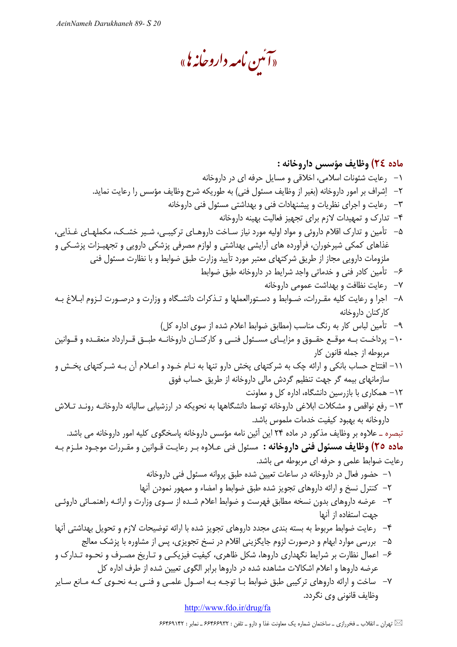«آئىن نامە داروخانەی»

## ماده ٢٤) وظايف مؤسس داروخانه : ۱- رعایت شئونات اسلامی، اخلاقی و مسایل حرفه ای در داروخانه ٢– اِشراف بر امور داروخانه (بغير از وظايف مسئول فني) به طوريكه شرح وظايف مؤسس را رعايت نمايد. ۳– رعایت و اجرای نظریات و پیشنهادات فنی و بهداشتی مسئول فنی داروخانه ۴- تدارک و تمهیدات لازم برای تجهیز فعالیت بهینه داروخانه ۵– تأمین و تدارک اقلام داروئی و مواد اولیه مورد نیاز سـاخت داروهـای ترکیبـی، شـیر خشـک، مکملهـای غـذایی، غذاهای کمکی شیرخوران، فرآورده های آرایشی بهداشتی و لوازم مصرفی پزشکی دارویی و تجهیـزات پزشـکی و ملزومات دارویی مجاز از طریق شرکتهای معتبر مورد تأیید وزارت طبق ضوابط و با نظارت مسئول فنی ۶– تأمین کادر فنی و خدماتی واجد شرایط در داروخانه طبق ضوابط ۷– رعایت نظافت و بهداشت عمومی داروخانه ۸– اجرا و رعايت كليه مقـررات، ضـوابط و دسـتورالعملها و تـذكرات دانشـگاه و وزارت و درصـورت لـزوم ابـلاغ بـه كاركنان داروخانه ۹– تأمین لباس کار به رنگ مناسب (مطابق ضوابط اعلام شده از سوی اداره کل) ۱۰– پرداخـت بــه موقــع حقــوق و مزايــاى مســئول فنــى و كاركنــان داروخانــه طبــق قــرارداد منعقــده و قــوانين مربوطه از جمله قانون كار ١١– افتتاح حساب بانكي و ارائه چک به شركتهاي پخش دارو تنها به نـام خـود و اعـلام آن بـه شـركتهاي پخـش و سازمانهای بیمه گر جهت تنظیم گردش مالی داروخانه از طریق حساب فوق ١٢- همكارى با بازرسين دانشگاه، اداره كل و معاونت ۱۳– رفع نواقص و مشکلات ابلاغی داروخانه توسط دانشگاهها به نحویکه در ارزشیابی سالیانه داروخانـه رونـد تـلاش داروخانه به بهبود كيفيت خدمات ملموس باشد. تبصره \_ علاوه بر وظايف مذكور در ماده ٢۴ اين آئين نامه مؤسس داروخانه پاسخگوي كليه امور داروخانه مي باشد. **ماده ٢٥) وظايف مسئول فني داروخانه :** مسئول فني عـلاوه بـر رعايـت قـوانين و مقـررات موجـود ملـزم بـه رعایت ضوابط علمی و حرفه ای مربوطه می باشد. ۱– حضور فعال در داروخانه در ساعات تعیین شده طبق پروانه مسئول فنی داروخانه ٢– كنترل نسخ و ارائه داروهاى تجويز شده طبق ضوابط و امضاء و ممهور نمودن أنها ٣– عرضه داروهاي بدون نسخه مطابق فهرست و ضوابط اعلام شـده از سـوى وزارت و ارائـه راهنمـائي داروئـي جهت استفاده از آنها ۴– رعايت ضوابط مربوط به بسته بندى مجدد داروهاى تجويز شده با ارائه توضيحات لازم و تحويل بهداشتى آنها ۵– بررسی موارد ابهام و درصورت لزوم جایگزینی اقلام در نسخ تجویزی، پس از مشاوره با پزشک معالج ۶– اعمال نظارت بر شرایط نگهداری داروها، شکل ظاهری، کیفیت فیزیکـی و تـاریخ مصـرف و نحـوه تـدارک و عرضه داروها و اعلام اشکالات مشاهده شده در داروها برابر الگوی تعیین شده از طرف اداره کل ۷– ساخت و ارائه داروهای ترکیبی طبق ضوابط بـا توجـه بـه اصـول علمـی و فنـی بـه نحـوی کـه مـانع سـایر وظايف قانوني وي نگردد.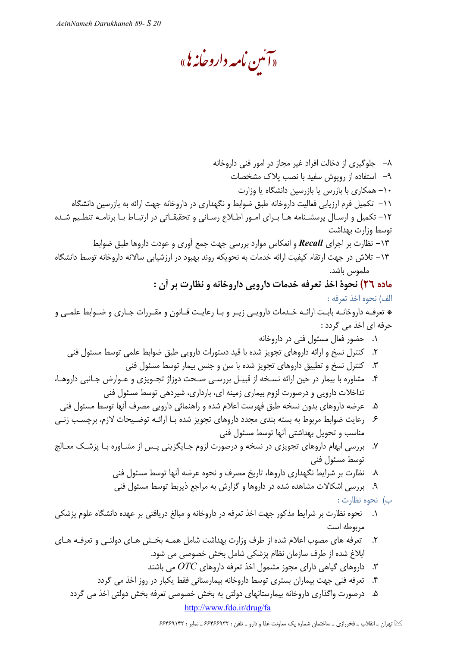«آئىن نامە داروخانەی»

A− جلوگیری از دخالت افراد غیر مجاز در امور فنی داروخانه ۹– استفاده از رویوش سفید با نصب پلاک مشخصات ۱۰– همکاری با بازرس یا بازرسین دانشگاه یا وزارت ١١– تكميل فرم ارزيابي فعاليت داروخانه طبق ضوابط و نگهداري در داروخانه جهت ارائه به بازرسين دانشگاه ١٢- تكميل و ارسـال پرسشـنامه هـا بـراي امـور اطـلاع رسـاني و تحقيقـاتي در ارتبـاط بـا برنامـه تنظـيم شـده توسط وزارت بهداشت ۱۳ – نظارت بر اجرای Recall و انعکاس موارد بررسی جهت جمع آوری و عودت داروها طبق ضوابط ۱۴– تلاش در جهت ارتقاء کیفیت ارائه خدمات به نحویکه روند بهبود در ارزشیابی سالانه داروخانه توسط دانشگاه ملموس باشد.

ماده ٢٦) نحوة اخذ تعرفه خدمات دارويي داروخانه و نظارت بر أن : الف) نحوه اخذ تعرفه :

\* تعرفـه داروخانـه بابـت ارائـه خـدمات دارويـي زيـر و بـا رعايـت قـانون و مقـررات جـاري و ضـوابط علمـي و حرفه ای اخذ می گردد :

- ۰۱ حضور فعال مسئول فنی در داروخانه
- ۲. کنترل نسخ و ارائه داروهای تجویز شده با قید دستورات دارویی طبق ضوابط علمی توسط مسئول فنی
	- ۳. کنترل نسخ و تطبیق داروهای تجویز شده با سن و جنس بیمار توسط مسئول فنی
- ۴. مشاوره با بیمار در حین ارائه نسـخه از قبیـل بررسـی صـحت دوزاژ تجـویزی و عـوارض جـانبی داروهـا، تداخلات دارویی و درصورت لزوم بیماری زمینه ای، بارداری، شیردهی توسط مسئول فنی
	- ۵. عرضه داروهای بدون نسخه طبق فهرست اعلام شده و راهنمائی دارویی مصرف آنها توسط مسئول فنی
- ۶ ـ رعايت ضوابط مربوط به بسته بندى مجدد داروهاى تجويز شده بـا ارائـه توضـيحات لازم، برچسـب زنـي مناسب و تحویل بهداشتی آنها توسط مسئول فنی
- ۷. بررسی ابهام داروهای تجویزی در نسخه و درصورت لزوم جـایگزینی پـس از مشـاوره بـا پزشـک معـالج توسط مسئول فني
	- ۸. نظارت بر شرایط نگهداری داروها، تاریخ مصرف و نحوه عرضه أنها توسط مسئول فنی
	- ۹. بررسی اشکالات مشاهده شده در داروها و گزارش به مراجع ذیربط توسط مسئول فنی
		- ب) نحوه نظارت :
- ۰۱ نحوه نظارت بر شرایط مذکور جهت اخذ تعرفه در داروخانه و مبالغ دریافتی بر عهده دانشگاه علوم پزشکی مربوطه است
- ۲. تعرفه های مصوب اعلام شده از طرف وزارت بهداشت شامل همـه بخـش هـای دولتـی و تعرفـه هـای ابلاغ شده از طرف سازمان نظام پزشکی شامل بخش خصوصی می شود.
	- ۳. داروهای گیاهی دارای مجوز مشمول اخذ تعرفه داروهای  $OTC$  می باشند
	- ۴. تعرفه فنی جهت بیماران بستری توسط داروخانه بیمارستانی فقط یکبار در روز اخذ می گردد
	- ۵. درصورت واگذاری داروخانه بیمارستانهای دولتی به بخش خصوصی تعرفه بخش دولتی اخذ می گردد http://www.fdo.ir/drug/fa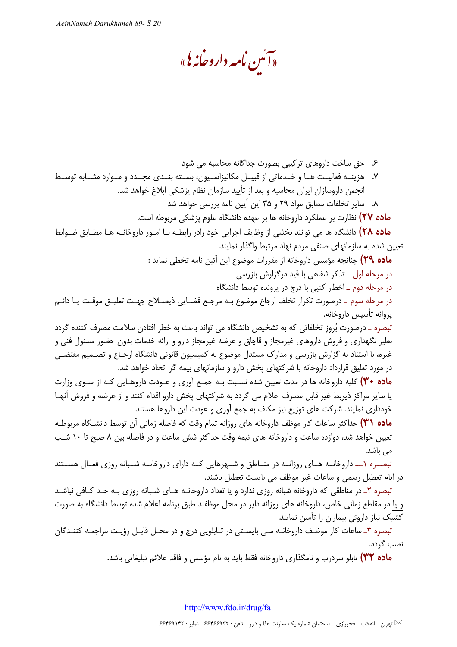«آئىن نامە داروخانەی»

۶ حق ساخت داروهای ترکیبی بصورت جداگانه محاسبه می شود ٧. هزینــه فعالیــت هــا و خــدماتی از قبیــل مکانیزاســیون، بســته بنــدی مجــدد و مــوارد مشــابه توســط انجمن داروسازان ایران محاسبه و بعد از تأیید سازمان نظام پزشکی ابلاغ خواهد شد. ٨. ساير تخلفات مطابق مواد ٢٩ و ٣۵ اين آيين نامه بررسي خواهد شد **ماده ۲۷)** نظارت بر عملکرد داروخانه ها بر عهده دانشگاه علوم پزشکی مربوطه است. ماده ۲۸) دانشگاه ها می توانند بخشی از وظایف اجرایی خود رادر رابطـه بـا امـور داروخانـه هـا مطـابق ضـوابط تعیین شده به سازمانهای صنفی مردم نهاد مرتبط واگذار نمایند. ماده ٢٩) چنانچه مؤسس داروخانه از مقررات موضوع این آئین نامه تخطی نماید : در مرحله اول ــ تذکر شفاهی با قید درگزارش بازرسی در مرحله دوم \_ اخطار كتبي با درج در پرونده توسط دانشگاه در مرحله سوم \_ درصورت تكرار تخلف ارجاع موضوع بـه مرجـع قضـايي ذيصـلاح جهـت تعليـق موقـت يـا دائـم پروانه تأسيس داروخانه. تبصره \_ درصورت بُروز تخلفاتي كه به تشخيص دانشگاه مي تواند باعث به خطر افتادن سلامت مصرف كننده گردد نظیر نگهداری و فروش داروهای غیرمجاز و قاچاق و عرضه غیرمجاز دارو و ارائه خدمات بدون حضور مسئول فنی و غیره، با استناد به گزارش بازرسی و مدارک مستدل موضوع به کمیسیون قانونی دانشگاه ارجـاع و تصـمیم مقتضـی در مورد تعلیق قرارداد داروخانه با شرکتهای پخش دارو و سازمانهای بیمه گر اتخاذ خواهد شد. م**اده ۳۰)** کلیه داروخانه ها در مدت تعیین شده نسـبت بـه جمـع آوری و عـودت داروهـایی کـه از سـوی وزارت یا سایر مراکز ذیربط غیر قابل مصرف اعلام می گردد به شرکتهای پخش دارو اقدام کنند و از عرضه و فروش آنهـا خودداری نمایند. شرکت های توزیع نیز مکلف به جمع آوری و عودت این داروها هستند. م**اده (۳۱)** حداکثر ساعات کار موظف داروخانه های روزانه تمام وقت که فاصله زمانی آن توسط دانشـگاه مربوطـه تعیین خواهد شد، دوازده ساعت و داروخانه های نیمه وقت حداکثر شش ساعت و در فاصله بین ۸ صبح تا ۱۰ شب مے باشد. تبصـره ١ـــ داروخانــه هــاي روزانــه در منــاطق و شــهرهايي كــه داراي داروخانــه شــبانه روزي فعــال هســتند در ايام تعطيل رسمي و ساعات غير موظف مي بايست تعطيل باشند. تبصره ۲ـ در مناطقي كه داروخانه شبانه روزي ندارد و يا تعداد داروخانـه هـاي شـبانه روزي بـه حـد كـافي نباشـد و یا در مقاطع زمانی خاص، داروخانه های روزانه دایر در محل موظفند طبق برنامه اعلام شده توسط دانشگاه به صورت

کشیک نیاز داروئی بیماران را تأمین نمایند. تبصره ٣ـ ساعات كار موظف داروخانـه مـى بايسـتى در تـابلويى درج و در محـل قابـل رؤيـت مراجعـه كننـدگان نصب گردد.

**ماده ٣٢)** تابلو سردرب و نامگذاری داروخانه فقط باید به نام مؤسس و فاقد علائم تبلیغاتی باشد.